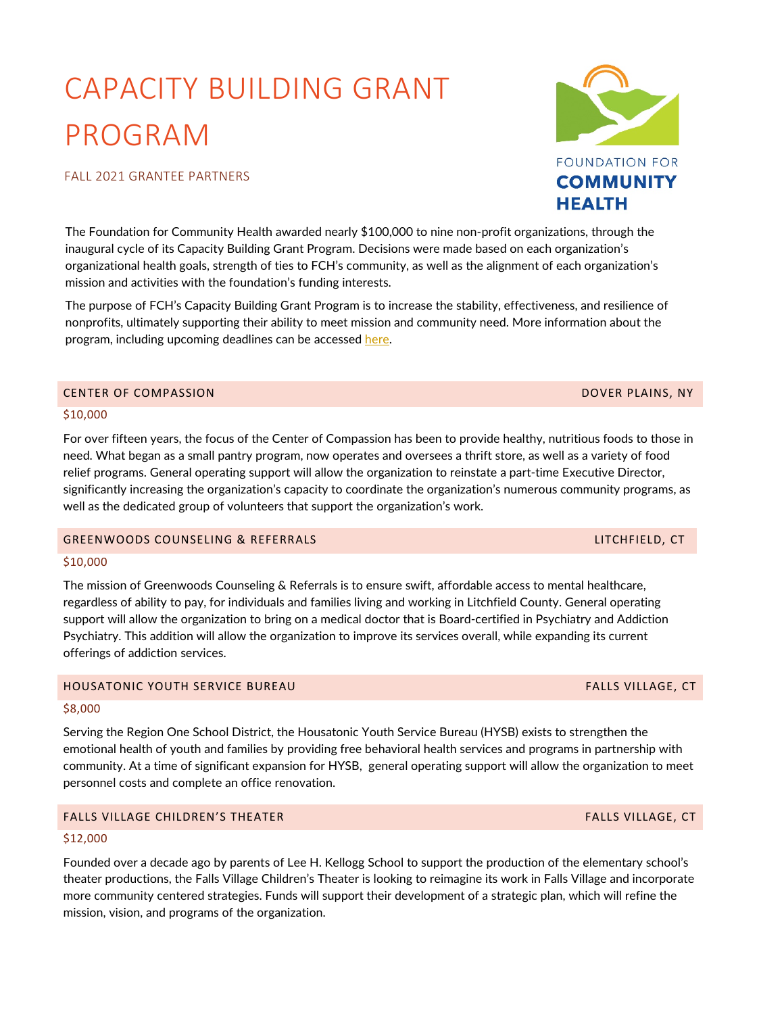# CAPACITY BUILDING GRANT PROGRAM

### FALL 2021 GRANTEE PARTNERS

The Foundation for Community Health awarded nearly \$100,000 to nine non-profit organizations, through the inaugural cycle of its Capacity Building Grant Program. Decisions were made based on each organization's organizational health goals, strength of ties to FCH's community, as well as the alignment of each organization's mission and activities with the foundation's funding interests.

The purpose of FCH's Capacity Building Grant Program is to increase the stability, effectiveness, and resilience of nonprofits, ultimately supporting their ability to meet mission and community need. More information about the program, including upcoming deadlines can be accessed [here.](https://fchealth.org/grants/request-for-proposals)

### CENTER OF COMPASSION DOVER PLAINS, NY

### \$10,000

For over fifteen years, the focus of the Center of Compassion has been to provide healthy, nutritious foods to those in need. What began as a small pantry program, now operates and oversees a thrift store, as well as a variety of food relief programs. General operating support will allow the organization to reinstate a part-time Executive Director, significantly increasing the organization's capacity to coordinate the organization's numerous community programs, as well as the dedicated group of volunteers that support the organization's work.

### GREENWOODS COUNSELING & REFERRALS LITCHFIELD, CT

### \$10,000

The mission of Greenwoods Counseling & Referrals is to ensure swift, affordable access to mental healthcare, regardless of ability to pay, for individuals and families living and working in Litchfield County. General operating support will allow the organization to bring on a medical doctor that is Board-certified in Psychiatry and Addiction Psychiatry. This addition will allow the organization to improve its services overall, while expanding its current offerings of addiction services.

### HOUSATONIC YOUTH SERVICE BUREAU FALLS VILLAGE, CT

### \$8,000

Serving the Region One School District, the Housatonic Youth Service Bureau (HYSB) exists to strengthen the emotional health of youth and families by providing free behavioral health services and programs in partnership with community. At a time of significant expansion for HYSB, general operating support will allow the organization to meet personnel costs and complete an office renovation.

# FALLS VILLAGE CHILDREN'S THEATER FALLS VILLAGE, CT

### \$12,000

Founded over a decade ago by parents of Lee H. Kellogg School to support the production of the elementary school's theater productions, the Falls Village Children's Theater is looking to reimagine its work in Falls Village and incorporate more community centered strategies. Funds will support their development of a strategic plan, which will refine the mission, vision, and programs of the organization.